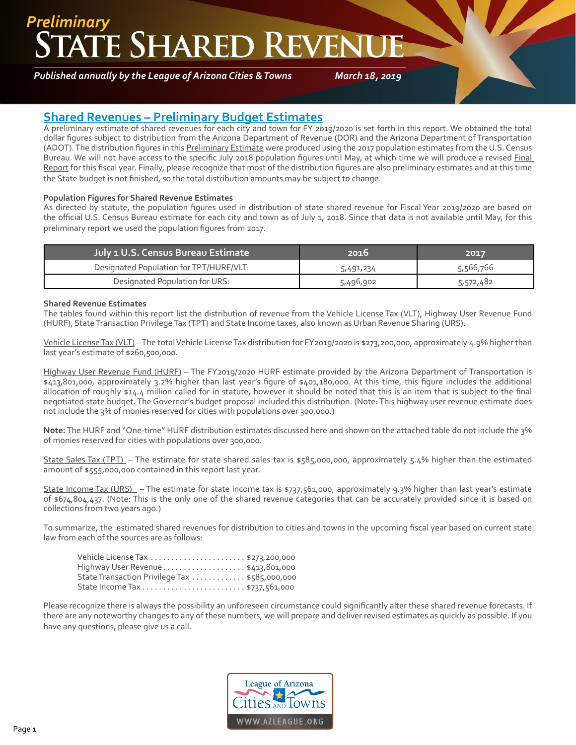## **TE SHARED REVEN** *Preliminary*

*Published annually by the League of Arizona Cities & Towns*

*March 18, 2019*

### **Shared Revenues – Preliminary Budget Estimates**

A preliminary estimate of shared revenues for each city and town for FY 2019/2020 is set forth in this report. We obtained the total dollar figures subject to distribution from the Arizona Department of Revenue (DOR) and the Arizona Department of Transportation (ADOT). The distribution figures in this Preliminary Estimate were produced using the 2017 population estimates from the U.S. Census Bureau. We will not have access to the specific July 2018 population figures until May, at which time we will produce a revised Final Report for this fiscal year. Finally, please recognize that most of the distribution figures are also preliminary estimates and at this time the State budget is not finished, so the total distribution amounts may be subject to change.

#### **Population Figures for Shared Revenue Estimates**

As directed by statute, the population figures used in distribution of state shared revenue for Fiscal Year 2019/2020 are based on the official U.S. Census Bureau estimate for each city and town as of July 1, 2018. Since that data is not available until May, for this preliminary report we used the population figures from 2017.

| July 1 U.S. Census Bureau Estimate      | 2016      | 2017      |
|-----------------------------------------|-----------|-----------|
| Designated Population for TPT/HURF/VLT: | 5,491,234 | 5,566,766 |
| Designated Population for URS:          | 5,496,902 | 5,572,482 |

#### **Shared Revenue Estimates**

The tables found within this report list the distribution of revenue from the Vehicle License Tax (VLT), Highway User Revenue Fund (HURF), State Transaction Privilege Tax (TPT) and State Income taxes, also known as Urban Revenue Sharing (URS).

Vehicle License Tax (VLT) – The total Vehicle License Tax distribution for FY2019/2020 is \$273,200,000, approximately 4.9% higher than last year's estimate of \$260,500,000.

Highway User Revenue Fund (HURF) – The FY2019/2020 HURF estimate provided by the Arizona Department of Transportation is \$413,801,000, approximately 3.2% higher than last year's figure of \$401,180,000. At this time, this figure includes the additional allocation of roughly \$14.4 million called for in statute, however it should be noted that this is an item that is subject to the final negotiated state budget. The Governor's budget proposal included this distribution. (Note: This highway user revenue estimate does not include the 3% of monies reserved for cities with populations over 300,000.)

**Note:** The HURF and "One-time" HURF distribution estimates discussed here and shown on the attached table do not include the 3% of monies reserved for cities with populations over 300,000.

State Sales Tax (TPT) – The estimate for state shared sales tax is \$585,000,000, approximately 5.4% higher than the estimated amount of \$555,000,000 contained in this report last year.

State Income Tax (URS) – The estimate for state income tax is \$737,561,000, approximately 9.3% higher than last year's estimate of \$674,804,437. (Note: This is the only one of the shared revenue categories that can be accurately provided since it is based on collections from two years ago.)

To summarize, the estimated shared revenues for distribution to cities and towns in the upcoming fiscal year based on current state law from each of the sources are as follows:

| Highway User Revenue\$413,801,000             |  |
|-----------------------------------------------|--|
| State Transaction Privilege Tax \$585,000,000 |  |
|                                               |  |

Please recognize there is always the possibility an unforeseen circumstance could significantly alter these shared revenue forecasts. If there are any noteworthy changes to any of these numbers, we will prepare and deliver revised estimates as quickly as possible. If you have any questions, please give us a call.

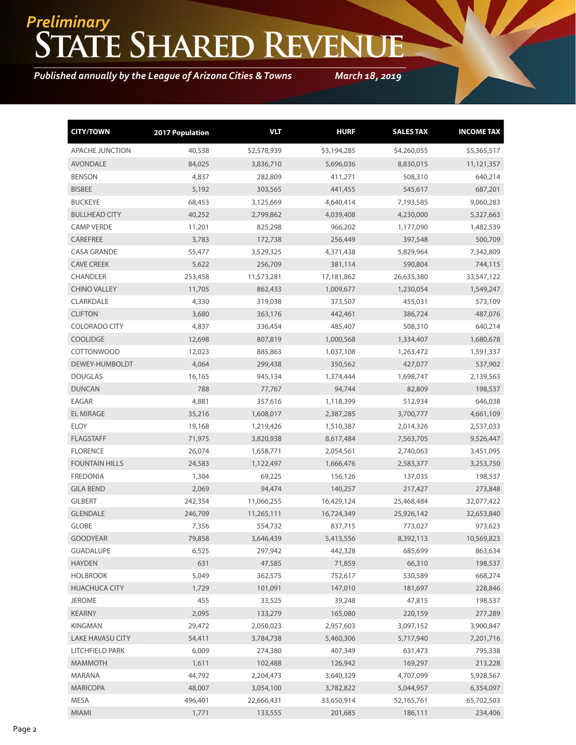# **State Shared Revenue** *Preliminary*

*Published annually by the League of Arizona Cities & Towns*

*March 18, 2019*

| <b>CITY/TOWN</b>        | <b>2017 Population</b> | <b>VLT</b>  | <b>HURF</b> | <b>SALES TAX</b> | <b>INCOME TAX</b> |
|-------------------------|------------------------|-------------|-------------|------------------|-------------------|
| <b>APACHE JUNCTION</b>  | 40,538                 | \$2,578,939 | \$3,194,285 | \$4,260,055      | \$5,365,517       |
| <b>AVONDALE</b>         | 84,025                 | 3,836,710   | 5,696,036   | 8,830,015        | 11,121,357        |
| <b>BENSON</b>           | 4,837                  | 282,809     | 411,271     | 508,310          | 640,214           |
| <b>BISBEE</b>           | 5,192                  | 303,565     | 441,455     | 545,617          | 687,201           |
| <b>BUCKEYE</b>          | 68,453                 | 3,125,669   | 4,640,414   | 7,193,585        | 9,060,283         |
| <b>BULLHEAD CITY</b>    | 40,252                 | 2,799,862   | 4,039,408   | 4,230,000        | 5,327,663         |
| <b>CAMP VERDE</b>       | 11,201                 | 825,298     | 966,202     | 1,177,090        | 1,482,539         |
| <b>CAREFREE</b>         | 3,783                  | 172,738     | 256,449     | 397,548          | 500,709           |
| <b>CASA GRANDE</b>      | 55,477                 | 3,529,325   | 4,371,438   | 5,829,964        | 7,342,809         |
| <b>CAVE CREEK</b>       | 5,622                  | 256,709     | 381,114     | 590,804          | 744,115           |
| <b>CHANDLER</b>         | 253,458                | 11,573,281  | 17,181,862  | 26,635,380       | 33,547,122        |
| <b>CHINO VALLEY</b>     | 11,705                 | 862,433     | 1,009,677   | 1,230,054        | 1,549,247         |
| CLARKDALE               | 4,330                  | 319,038     | 373,507     | 455,031          | 573,109           |
| <b>CLIFTON</b>          | 3,680                  | 363,176     | 442,461     | 386,724          | 487,076           |
| <b>COLORADO CITY</b>    | 4,837                  | 336,454     | 485,407     | 508,310          | 640,214           |
| <b>COOLIDGE</b>         | 12,698                 | 807,819     | 1,000,568   | 1,334,407        | 1,680,678         |
| <b>COTTONWOOD</b>       | 12,023                 | 885,863     | 1,037,108   | 1,263,472        | 1,591,337         |
| DEWEY-HUMBOLDT          | 4,064                  | 299,438     | 350,562     | 427,077          | 537,902           |
| <b>DOUGLAS</b>          | 16,165                 | 945,134     | 1,374,444   | 1,698,747        | 2,139,563         |
| <b>DUNCAN</b>           | 788                    | 77,767      | 94,744      | 82,809           | 198,537           |
| <b>EAGAR</b>            | 4,881                  | 357,616     | 1,118,399   | 512,934          | 646,038           |
| <b>EL MIRAGE</b>        | 35,216                 | 1,608,017   | 2,387,285   | 3,700,777        | 4,661,109         |
| <b>ELOY</b>             | 19,168                 | 1,219,426   | 1,510,387   | 2,014,326        | 2,537,033         |
| <b>FLAGSTAFF</b>        | 71,975                 | 3,820,938   | 8,617,484   | 7,563,705        | 9,526,447         |
| <b>FLORENCE</b>         | 26,074                 | 1,658,771   | 2,054,561   | 2,740,063        | 3,451,095         |
| <b>FOUNTAIN HILLS</b>   | 24,583                 | 1,122,497   | 1,666,476   | 2,583,377        | 3,253,750         |
| <b>FREDONIA</b>         | 1,304                  | 69,225      | 156,126     | 137,035          | 198,537           |
| <b>GILA BEND</b>        | 2,069                  | 94,474      | 140,257     | 217,427          | 273,848           |
| <b>GILBERT</b>          | 242,354                | 11,066,255  | 16,429,124  | 25,468,484       | 32,077,422        |
| <b>GLENDALE</b>         | 246,709                | 11,265,111  | 16,724,349  | 25,926,142       | 32,653,840        |
| <b>GLOBE</b>            | 7,356                  | 554,732     | 837,715     | 773,027          | 973,623           |
| <b>GOODYEAR</b>         | 79,858                 | 3,646,439   | 5,413,556   | 8,392,113        | 10,569,823        |
| <b>GUADALUPE</b>        | 6,525                  | 297,942     | 442,328     | 685,699          | 863,634           |
| <b>HAYDEN</b>           | 631                    | 47,585      | 71,859      | 66,310           | 198,537           |
| <b>HOLBROOK</b>         | 5,049                  | 362,575     | 752,617     | 530,589          | 668,274           |
| <b>HUACHUCA CITY</b>    | 1,729                  | 101,091     | 147,010     | 181,697          | 228,846           |
| <b>JEROME</b>           | 455                    | 33,525      | 39,248      | 47,815           | 198,537           |
| <b>KEARNY</b>           | 2,095                  | 133,279     | 165,080     | 220,159          | 277,289           |
| KINGMAN                 | 29,472                 | 2,050,023   | 2,957,603   | 3,097,152        | 3,900,847         |
| <b>LAKE HAVASU CITY</b> | 54,411                 | 3,784,738   | 5,460,306   | 5,717,940        | 7,201,716         |
| LITCHFIELD PARK         | 6,009                  | 274,380     | 407,349     | 631,473          | 795,338           |
| <b>MAMMOTH</b>          | 1,611                  | 102,488     | 126,942     | 169,297          | 213,228           |
| MARANA                  | 44,792                 | 2,204,473   | 3,640,329   | 4,707,099        | 5,928,567         |
| <b>MARICOPA</b>         | 48,007                 | 3,054,100   | 3,782,822   | 5,044,957        | 6,354,097         |
| MESA                    | 496,401                | 22,666,431  | 33,650,914  | 52,165,761       | 65,702,503        |
| MIAMI                   | 1,771                  | 133,555     | 201,685     | 186,111          | 234,406           |